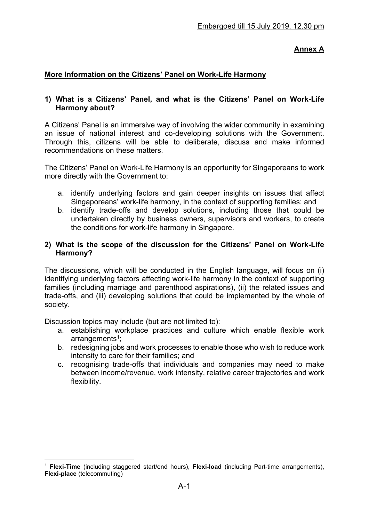# **Annex A**

### **More Information on the Citizens' Panel on Work-Life Harmony**

### **1) What is a Citizens' Panel, and what is the Citizens' Panel on Work-Life Harmony about?**

A Citizens' Panel is an immersive way of involving the wider community in examining an issue of national interest and co-developing solutions with the Government. Through this, citizens will be able to deliberate, discuss and make informed recommendations on these matters.

The Citizens' Panel on Work-Life Harmony is an opportunity for Singaporeans to work more directly with the Government to:

- a. identify underlying factors and gain deeper insights on issues that affect Singaporeans' work-life harmony, in the context of supporting families; and
- b. identify trade-offs and develop solutions, including those that could be undertaken directly by business owners, supervisors and workers, to create the conditions for work-life harmony in Singapore.

#### **2) What is the scope of the discussion for the Citizens' Panel on Work-Life Harmony?**

The discussions, which will be conducted in the English language, will focus on (i) identifying underlying factors affecting work-life harmony in the context of supporting families (including marriage and parenthood aspirations), (ii) the related issues and trade-offs, and (iii) developing solutions that could be implemented by the whole of society.

Discussion topics may include (but are not limited to):

- a. establishing workplace practices and culture which enable flexible work arrangements $1$ ;
- b. redesigning jobs and work processes to enable those who wish to reduce work intensity to care for their families; and
- c. recognising trade-offs that individuals and companies may need to make between income/revenue, work intensity, relative career trajectories and work flexibility.

 $\overline{a}$ <sup>1</sup> **Flexi-Time** (including staggered start/end hours), **Flexi-load** (including Part-time arrangements), **Flexi-place** (telecommuting)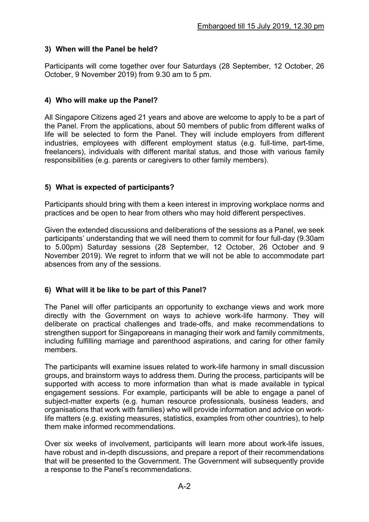# **3) When will the Panel be held?**

Participants will come together over four Saturdays (28 September, 12 October, 26 October, 9 November 2019) from 9.30 am to 5 pm.

## **4) Who will make up the Panel?**

All Singapore Citizens aged 21 years and above are welcome to apply to be a part of the Panel. From the applications, about 50 members of public from different walks of life will be selected to form the Panel. They will include employers from different industries, employees with different employment status (e.g. full-time, part-time, freelancers), individuals with different marital status, and those with various family responsibilities (e.g. parents or caregivers to other family members).

## **5) What is expected of participants?**

Participants should bring with them a keen interest in improving workplace norms and practices and be open to hear from others who may hold different perspectives.

Given the extended discussions and deliberations of the sessions as a Panel, we seek participants' understanding that we will need them to commit for four full-day (9.30am to 5.00pm) Saturday sessions (28 September, 12 October, 26 October and 9 November 2019). We regret to inform that we will not be able to accommodate part absences from any of the sessions.

## **6) What will it be like to be part of this Panel?**

The Panel will offer participants an opportunity to exchange views and work more directly with the Government on ways to achieve work-life harmony. They will deliberate on practical challenges and trade-offs, and make recommendations to strengthen support for Singaporeans in managing their work and family commitments, including fulfilling marriage and parenthood aspirations, and caring for other family members.

The participants will examine issues related to work-life harmony in small discussion groups, and brainstorm ways to address them. During the process, participants will be supported with access to more information than what is made available in typical engagement sessions. For example, participants will be able to engage a panel of subject-matter experts (e.g. human resource professionals, business leaders, and organisations that work with families) who will provide information and advice on worklife matters (e.g. existing measures, statistics, examples from other countries), to help them make informed recommendations.

Over six weeks of involvement, participants will learn more about work-life issues, have robust and in-depth discussions, and prepare a report of their recommendations that will be presented to the Government. The Government will subsequently provide a response to the Panel's recommendations.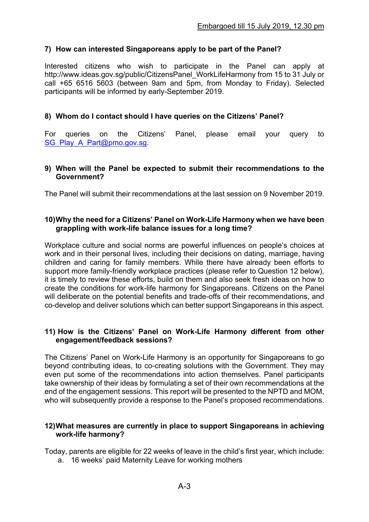## **7) How can interested Singaporeans apply to be part of the Panel?**

Interested citizens who wish to participate in the Panel can apply at http://www.ideas.gov.sg/public/CitizensPanel\_WorkLifeHarmony from 15 to 31 July or call +65 6516 5603 (between 9am and 5pm, from Monday to Friday). Selected participants will be informed by early-September 2019.

### **8) Whom do I contact should I have queries on the Citizens' Panel?**

For queries on the Citizens' Panel, please email your query to SG\_Play\_A\_Part@pmo.gov.sg.

#### **9) When will the Panel be expected to submit their recommendations to the Government?**

The Panel will submit their recommendations at the last session on 9 November 2019.

### **10) Why the need for a Citizens' Panel on Work-Life Harmony when we have been grappling with work-life balance issues for a long time?**

Workplace culture and social norms are powerful influences on people's choices at work and in their personal lives, including their decisions on dating, marriage, having children and caring for family members. While there have already been efforts to support more family-friendly workplace practices (please refer to Question 12 below), it is timely to review these efforts, build on them and also seek fresh ideas on how to create the conditions for work-life harmony for Singaporeans. Citizens on the Panel will deliberate on the potential benefits and trade-offs of their recommendations, and co-develop and deliver solutions which can better support Singaporeans in this aspect.

#### **11) How is the Citizens' Panel on Work-Life Harmony different from other engagement/feedback sessions?**

The Citizens' Panel on Work-Life Harmony is an opportunity for Singaporeans to go beyond contributing ideas, to co-creating solutions with the Government. They may even put some of the recommendations into action themselves. Panel participants take ownership of their ideas by formulating a set of their own recommendations at the end of the engagement sessions. This report will be presented to the NPTD and MOM, who will subsequently provide a response to the Panel's proposed recommendations.

#### **12) What measures are currently in place to support Singaporeans in achieving work-life harmony?**

Today, parents are eligible for 22 weeks of leave in the child's first year, which include:

a. 16 weeks' paid Maternity Leave for working mothers